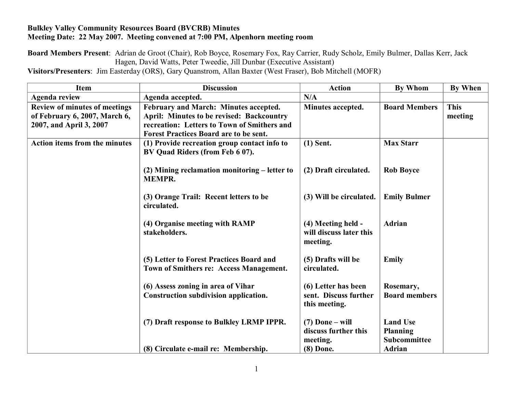## **Bulkley Valley Community Resources Board (BVCRB) Minutes Meeting Date: 22 May 2007. Meeting convened at 7:00 PM, Alpenhorn meeting room**

**Board Members Present**: Adrian de Groot (Chair), Rob Boyce, Rosemary Fox, Ray Carrier, Rudy Scholz, Emily Bulmer, Dallas Kerr, Jack Hagen, David Watts, Peter Tweedie, Jill Dunbar (Executive Assistant)

**Visitors/Presenters**: Jim Easterday (ORS), Gary Quanstrom, Allan Baxter (West Fraser), Bob Mitchell (MOFR)

| <b>Item</b>                          | <b>Discussion</b>                                | <b>Action</b>           | <b>By Whom</b>       | <b>By When</b> |
|--------------------------------------|--------------------------------------------------|-------------------------|----------------------|----------------|
| <b>Agenda review</b>                 | Agenda accepted.                                 | N/A                     |                      |                |
| Review of minutes of meetings        | February and March: Minutes accepted.            | Minutes accepted.       | <b>Board Members</b> | <b>This</b>    |
| of February 6, 2007, March 6,        | <b>April: Minutes to be revised: Backcountry</b> |                         |                      | meeting        |
| 2007, and April 3, 2007              | recreation: Letters to Town of Smithers and      |                         |                      |                |
|                                      | <b>Forest Practices Board are to be sent.</b>    |                         |                      |                |
| <b>Action items from the minutes</b> | (1) Provide recreation group contact info to     | $(1)$ Sent.             | <b>Max Starr</b>     |                |
|                                      | BV Quad Riders (from Feb 6 07).                  |                         |                      |                |
|                                      |                                                  |                         |                      |                |
|                                      | (2) Mining reclamation monitoring – letter to    | (2) Draft circulated.   | <b>Rob Boyce</b>     |                |
|                                      | <b>MEMPR.</b>                                    |                         |                      |                |
|                                      |                                                  |                         |                      |                |
|                                      | (3) Orange Trail: Recent letters to be           | (3) Will be circulated. | <b>Emily Bulmer</b>  |                |
|                                      | circulated.                                      |                         |                      |                |
|                                      | (4) Organise meeting with RAMP                   | (4) Meeting held -      | <b>Adrian</b>        |                |
|                                      | stakeholders.                                    | will discuss later this |                      |                |
|                                      |                                                  | meeting.                |                      |                |
|                                      |                                                  |                         |                      |                |
|                                      | (5) Letter to Forest Practices Board and         | (5) Drafts will be      | <b>Emily</b>         |                |
|                                      | Town of Smithers re: Access Management.          | circulated.             |                      |                |
|                                      |                                                  |                         |                      |                |
|                                      | (6) Assess zoning in area of Vihar               | (6) Letter has been     | Rosemary,            |                |
|                                      | Construction subdivision application.            | sent. Discuss further   | <b>Board members</b> |                |
|                                      |                                                  | this meeting.           |                      |                |
|                                      |                                                  |                         |                      |                |
|                                      | (7) Draft response to Bulkley LRMP IPPR.         | $(7)$ Done – will       | <b>Land Use</b>      |                |
|                                      |                                                  | discuss further this    | <b>Planning</b>      |                |
|                                      |                                                  | meeting.                | Subcommittee         |                |
|                                      | (8) Circulate e-mail re: Membership.             | (8) Done.               | <b>Adrian</b>        |                |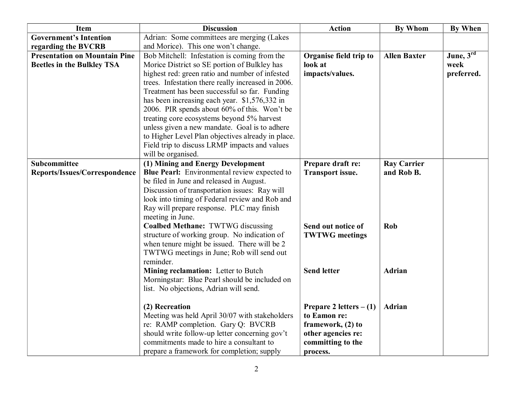| <b>Item</b>                          | <b>Discussion</b>                                   | <b>Action</b>             | <b>By Whom</b>      | <b>By When</b> |
|--------------------------------------|-----------------------------------------------------|---------------------------|---------------------|----------------|
| <b>Government's Intention</b>        | Adrian: Some committees are merging (Lakes          |                           |                     |                |
| regarding the BVCRB                  | and Morice). This one won't change.                 |                           |                     |                |
| <b>Presentation on Mountain Pine</b> | Bob Mitchell: Infestation is coming from the        | Organise field trip to    | <b>Allen Baxter</b> | June, $3^{rd}$ |
| <b>Beetles in the Bulkley TSA</b>    | Morice District so SE portion of Bulkley has        | look at                   |                     | week           |
|                                      | highest red: green ratio and number of infested     | impacts/values.           |                     | preferred.     |
|                                      | trees. Infestation there really increased in 2006.  |                           |                     |                |
|                                      | Treatment has been successful so far. Funding       |                           |                     |                |
|                                      | has been increasing each year. \$1,576,332 in       |                           |                     |                |
|                                      | 2006. PIR spends about 60% of this. Won't be        |                           |                     |                |
|                                      | treating core ecosystems beyond 5% harvest          |                           |                     |                |
|                                      | unless given a new mandate. Goal is to adhere       |                           |                     |                |
|                                      | to Higher Level Plan objectives already in place.   |                           |                     |                |
|                                      | Field trip to discuss LRMP impacts and values       |                           |                     |                |
|                                      | will be organised.                                  |                           |                     |                |
| Subcommittee                         | (1) Mining and Energy Development                   | Prepare draft re:         | <b>Ray Carrier</b>  |                |
| Reports/Issues/Correspondence        | <b>Blue Pearl:</b> Environmental review expected to | <b>Transport issue.</b>   | and Rob B.          |                |
|                                      | be filed in June and released in August.            |                           |                     |                |
|                                      | Discussion of transportation issues: Ray will       |                           |                     |                |
|                                      | look into timing of Federal review and Rob and      |                           |                     |                |
|                                      | Ray will prepare response. PLC may finish           |                           |                     |                |
|                                      | meeting in June.                                    |                           |                     |                |
|                                      | <b>Coalbed Methane: TWTWG discussing</b>            | Send out notice of        | Rob                 |                |
|                                      | structure of working group. No indication of        | <b>TWTWG</b> meetings     |                     |                |
|                                      | when tenure might be issued. There will be 2        |                           |                     |                |
|                                      | TWTWG meetings in June; Rob will send out           |                           |                     |                |
|                                      | reminder.                                           |                           |                     |                |
|                                      | Mining reclamation: Letter to Butch                 | <b>Send letter</b>        | <b>Adrian</b>       |                |
|                                      | Morningstar: Blue Pearl should be included on       |                           |                     |                |
|                                      | list. No objections, Adrian will send.              |                           |                     |                |
|                                      | (2) Recreation                                      | Prepare 2 letters $- (1)$ | Adrian              |                |
|                                      | Meeting was held April 30/07 with stakeholders      | to Eamon re:              |                     |                |
|                                      | re: RAMP completion. Gary Q: BVCRB                  | framework, (2) to         |                     |                |
|                                      | should write follow-up letter concerning gov't      | other agencies re:        |                     |                |
|                                      | commitments made to hire a consultant to            | committing to the         |                     |                |
|                                      | prepare a framework for completion; supply          | process.                  |                     |                |
|                                      |                                                     |                           |                     |                |